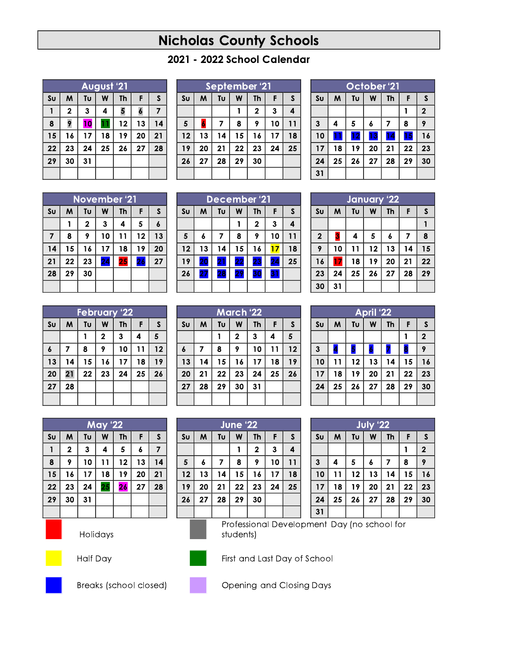## **Nicholas County Schools**

## 2021 - 2022 School Calendar

| August '21     |             |    |    |    |    |              |
|----------------|-------------|----|----|----|----|--------------|
| S <sub>U</sub> | W           | Tu | W  | Th | F  | $\mathsf{s}$ |
| 1              | $\mathbf 2$ | 3  | 4  | 5  | 6  | 7            |
| 8              | 9           | 10 |    | 12 | 13 | 14           |
| 15             | 16          | 17 | 18 | 19 | 20 | 21           |
| 22             | 23          | 24 | 25 | 26 | 27 | 28           |
| 29             | 30          | 31 |    |    |    |              |
|                |             |    |    |    |    |              |

| Septembe <u>r '21</u> |    |    |    |              |    |    |
|-----------------------|----|----|----|--------------|----|----|
| S <sub>U</sub>        | M  | Tυ | W  | <b>Th</b>    | F  | S  |
|                       |    |    |    | $\mathbf{2}$ | 3  | 4  |
| 5                     | 6  | 7  | 8  | 9            | 10 | 11 |
| 12                    | 13 | 14 | 15 | 16           | 17 | 18 |
| 19                    | 20 | 21 | 22 | 23           | 24 | 25 |
| 26                    | 27 | 28 | 29 | 30           |    |    |
|                       |    |    |    |              |    |    |

| October <sup>'21</sup> |    |    |                  |    |    |              |  |
|------------------------|----|----|------------------|----|----|--------------|--|
| Su                     | W  | Tυ | W                | Th | F  | S            |  |
|                        |    |    |                  |    |    | $\mathbf{2}$ |  |
| $\overline{3}$         | 4  | 5  | $\boldsymbol{6}$ | 7  | 8  | 9            |  |
| 10                     | 1  | 12 | 13               | 14 | 15 | 16           |  |
| 17                     | 18 | 19 | 20               | 21 | 22 | 23           |  |
| 24                     | 25 | 26 | 27               | 28 | 29 | 30           |  |
| 31                     |    |    |                  |    |    |              |  |

|                | November '21 |              |    |           |    |    |
|----------------|--------------|--------------|----|-----------|----|----|
| S <sub>U</sub> | м            | Tυ           | W  | <b>Th</b> | F  | S  |
|                |              | $\mathbf{2}$ | 3  | 4         | 5  | 6  |
| 7              | 8            | 9            | 10 | 11        | 12 | 13 |
| 14             | 15           | 16           | 17 | 18        | 19 | 20 |
| 21             | 22           | 23           | 24 | 25        | 26 | 27 |
| 28             | 29           | 30           |    |           |    |    |
|                |              |              |    |           |    |    |

|                | <b>December '21</b> |    |    |             |    |    |
|----------------|---------------------|----|----|-------------|----|----|
| S <sub>U</sub> | M                   | Tυ | W  | <b>Th</b>   | F  | S  |
|                |                     |    |    | $\mathbf 2$ | 3  | 4  |
| 5              | 6                   | 7  | 8  | 9           | 10 | 11 |
| 12             | 13                  | 14 | 15 | 16          | 17 | 18 |
| 19             | 20                  | 21 | 22 | 23          | 24 | 25 |
| 26             | 27                  | 28 | 29 |             | 31 |    |
|                |                     |    |    |             |    |    |

| January '22    |    |                         |    |                  |    |    |  |  |
|----------------|----|-------------------------|----|------------------|----|----|--|--|
| Su             | W  | Tυ<br>F<br>W<br>S<br>Th |    |                  |    |    |  |  |
|                |    |                         |    |                  |    |    |  |  |
| $\overline{2}$ | 3  | 4                       | 5  | $\boldsymbol{6}$ | 7  | 8  |  |  |
| 9              | 10 | 11                      | 12 | 13               | 14 | 15 |  |  |
| 16             | 17 | 18                      | 19 | 20               | 21 | 22 |  |  |
| 23             | 24 | 25                      | 26 | 27               | 28 | 29 |  |  |
| 30             | 31 |                         |    |                  |    |    |  |  |

|                  | <b>February '22</b> |    |              |           |    |              |
|------------------|---------------------|----|--------------|-----------|----|--------------|
| S <sub>U</sub>   | W                   | Tυ | W            | <b>Th</b> | F  | $\mathsf{s}$ |
|                  |                     |    | $\mathbf{2}$ | 3         | 4  | 5            |
| $\boldsymbol{6}$ | 7                   | 8  | 9            | 10        | 11 | 12           |
| 13               | 14                  | 15 | 16           | 17        | 18 | 19           |
| 20               | 21                  | 22 | 23           | 24        | 25 | 26           |
| 27               | 28                  |    |              |           |    |              |
|                  |                     |    |              |           |    |              |

| March '22      |    |    |              |           |    |              |
|----------------|----|----|--------------|-----------|----|--------------|
| S <sub>U</sub> | M  | Tυ | W            | <b>Th</b> | F  | $\mathsf{S}$ |
|                |    |    | $\mathbf{2}$ | 3         | 4  | 5            |
| 6              | 7  | 8  | 9            | 10        | 11 | 12           |
| 13             | 14 | 15 | 16           | 17        | 18 | 19           |
| 20             | 21 | 22 | 23           | 24        | 25 | 26           |
| 27             | 28 | 29 | 30           | 31        |    |              |
|                |    |    |              |           |    |              |
|                |    |    |              |           |    |              |

**June '22** 

 $\boldsymbol{\mathsf{W}}$ 

 $\mathbf{1}$ 

8

 $15\phantom{.0}$  $16$ 

22

29

students)

Th

 $\overline{\mathbf{2}}$ 

 $9<sup>°</sup>$ 

23

30

F.

 $\mathbf{3}$ 

 $10$ 

 $17$ 

 $24$ 

 $S$ 

 $\overline{\mathbf{4}}$ 

 $11$ 

 $18$ 

25

| April '22              |    |    |    |           |    |                |  |  |
|------------------------|----|----|----|-----------|----|----------------|--|--|
| $\mathsf{S}\mathsf{U}$ | M  | Tu | W  | <b>Th</b> | F  | $\mathsf{s}$   |  |  |
|                        |    |    |    |           |    | $\overline{2}$ |  |  |
| $\mathbf{3}$           |    | 5  | 6  |           | 8  | 9              |  |  |
| 10                     | 11 | 12 | 13 | 14        | 15 | 16             |  |  |
| 17                     | 18 | 19 | 20 | 21        | 22 | 23             |  |  |
| 24                     | 25 | 26 | 27 | 28        | 29 | 30             |  |  |
|                        |    |    |    |           |    |                |  |  |

July '22

 $\mathsf{W}$ 

 $\boldsymbol{6}$  $\overline{7}$ 

 $13$  $14$ 

20  $21$ 

 $27$ 

Th

28

 $\mathsf F$ 

 $\mathbf{1}$ 

8

 $15$  $16$ 

22

29

 $\boldsymbol{\mathsf{S}}$ 

 $\overline{2}$ 

9

23

30

 $\pmb{\mathsf{M}}$ 

 $\overline{\mathbf{4}}$ 

 $11$ 

18 19

25

Su

 $3<sup>1</sup>$ 

 $10$ 

 $17$ 

24 31 Professional Development Day (no school for

Tu

 $5\overline{5}$ 

 $12$ 

26

| <b>May '22</b> |             |    |    |           |    |    |
|----------------|-------------|----|----|-----------|----|----|
| S <sub>U</sub> | M           | Tυ | W  | <b>Th</b> | F  | S  |
|                | $\mathbf 2$ | 3  | 4  | 5         | 6  | 7  |
| 8              | 9           | 10 | 11 | 12        | 13 | 14 |
| 15             | 16          | 17 | 18 | 19        | 20 | 21 |
| 22             | 23          | 24 | 25 | 26        | 27 | 28 |
| 29             | 30          | 31 |    |           |    |    |
|                |             |    |    |           |    |    |



Holidays

Half Day



 $\mathsf{S}\mathsf{u}$ 

 $5\phantom{.0}$ 

 $12$ 

19

 $26$ 

 $\pmb{\mathsf{M}}$ 

 $\boldsymbol{6}$ 

 $13$ 

20

27

Tu

 $\overline{7}$ 

 $14$ 

21

28

First and Last Day of School



Breaks (school closed)



Opening and Closing Days